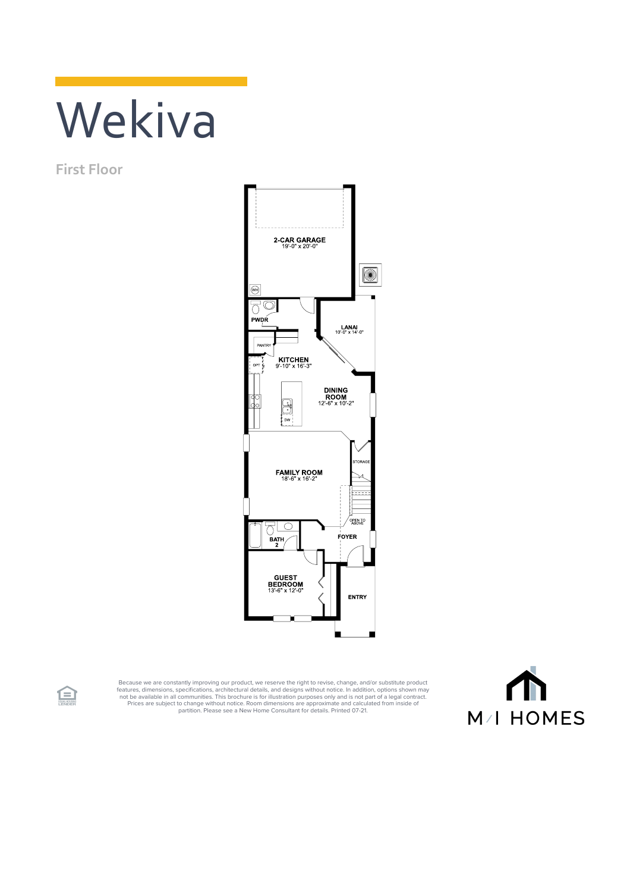## Wekiva

**First Floor**



Because we are constantly improving our product, we reserve the right to revise, change, and/or substitute product<br>features, dimensions, pecifications, architectural details, and designs without notice. In addition, option



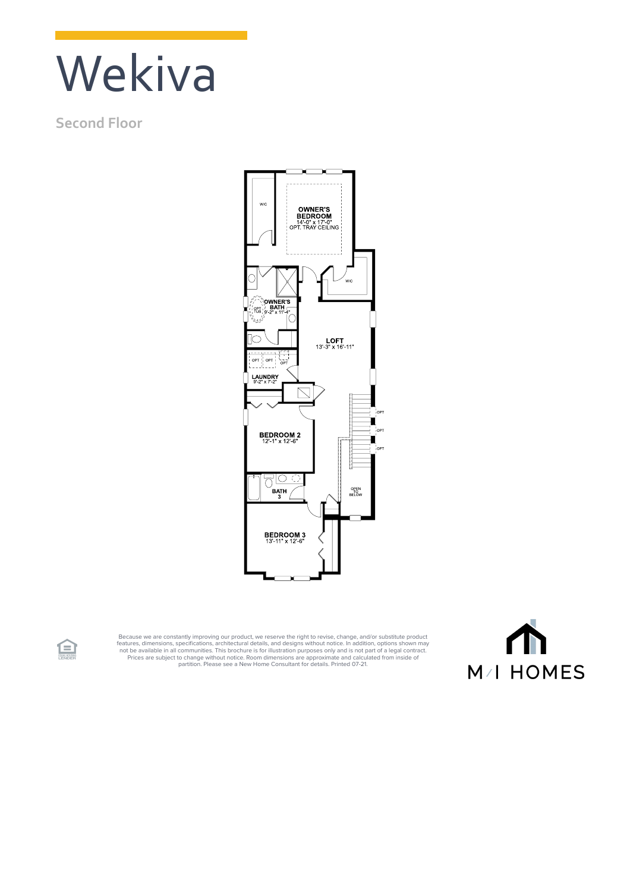## Wekiva

## **Second Floor**



Because we are constantly improving our product, we reserve the right to revise, change, and/or substitute product<br>features, dimensions, specifications, architectural details, and designs without notice. In addition, optio